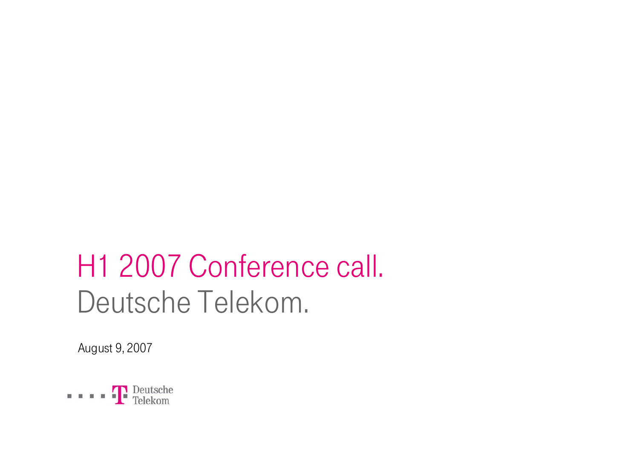# H1 2007 Conference call. Deutsche Telekom.

August 9, 2007

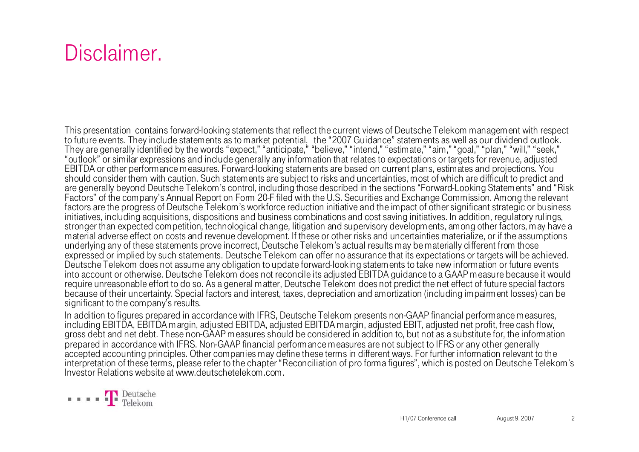### Disclaimer.

This presentation contains forward-looking statements that reflect the current views of Deutsche Telekom management with respect to future events. They include statements as to market potential, the "2007 Guidance" statements as well as our dividend outlook. They are generally identified by the words "expect," "anticipate," "believe," "intend," "estimate," "aim," "goal," "plan," "will," "seek," "outlook" or similar expressions and include generally any information that relates to expectations or targets for revenue, adjusted EBITDA or other performance measures. Forward-looking statements are based on current plans, estimates and projections. You should consider them with caution. Such statements are subject to risks and uncertainties, most of which are difficult to predict and are generally beyond Deutsche Telekom's control, including those described in the sections "Forward-Looking Statements" and "Risk Factors" of the company's Annual Report on Form 20-F filed with the U.S. Securities and Exchange Commission. Among the relevant factors are the progress of Deutsche Telekom's workforce reduction initiative and the impact of other significant strategic or business initiatives, including acquisitions, dispositions and business combinations and cost saving initiatives. In addition, regulatory rulings, stronger than expected competition, technological change, litigation and supervisory developments, among other factors, may have <sup>a</sup> material adverse effect on costs and revenue development. If these or other risks and uncertainties materialize, or if the assumptions underlying any of these statements prove incorrect, Deutsche Telekom's actual results may be materially different from those expressed or implied by such statements. Deutsche Telekom can offer no assurance that its expectations or targets will be achieved. Deutsche Telekom does not assume any obligation to update forward-looking statements to take new information or future events into account or otherwise. Deutsche Telekom does not reconcile its adjusted EBITDA guidance to a GAAP measure because it would require unreasonable effort to do so. As a general matter, Deutsche Telekom does not predict the net effect of future special factors because of their uncertainty. Special factors and interest, taxes, depreciation and amortization (including impairment losses) can be significant to the company's results.

In addition to figures prepared in accordance with IFRS, Deutsche Telekom presents non-GAAP financial performance measures, including EBITDA, EBITDA margin, adjusted EBITDA, adjusted EBITDA margin, adjusted EBIT, adjusted net profit, free cash flow, gross debt and net debt. These non-GAAP measures should be considered in addition to, but not as a substitute for, the information prepared in accordance with IFRS. Non-GAAP financial performance measures are not subject to IFRS or any other generally accepted accounting principles. Other companies may define these terms in different ways. For further information relevant to the interpretation of these terms, please refer to the chapter "Reconciliation of pro forma figures", which is posted on Deutsche Telekom's Investor Relations website at www.deutschetelekom.com.

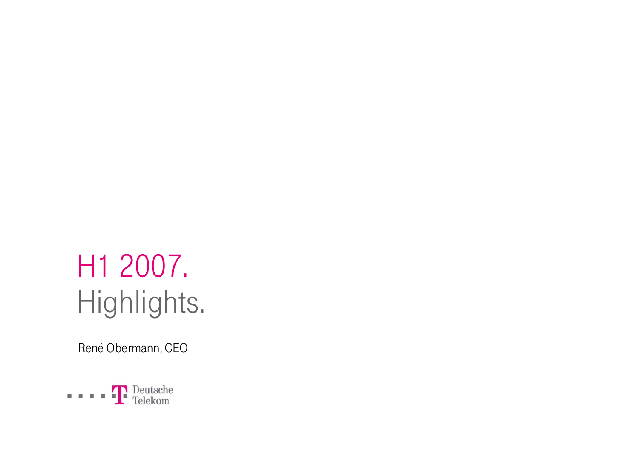# H1 2007. Highlights.

René Obermann, CEO

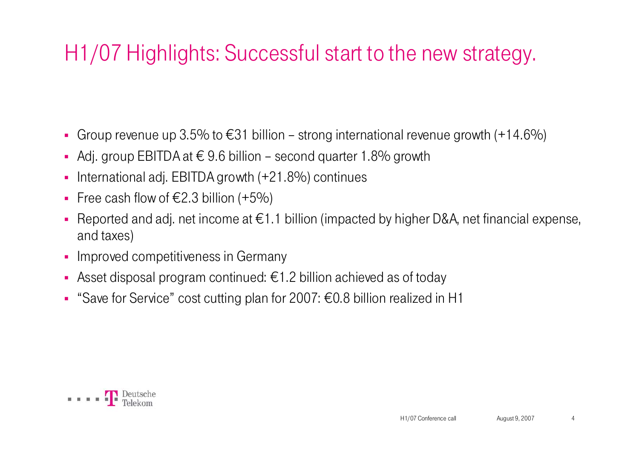# H1/07 Highlights: Successful start to the new strategy.

- Group revenue up 3.5% to  $\epsilon$ 31 billion strong international revenue growth (+14.6%)
- Adj. group EBITDA at  $€ 9.6$  billion second quarter 1.8% growth
- $\blacksquare$ International adj. EBITDA growth (+21.8%) continues
- Free cash flow of  $\epsilon$ 2.3 billion (+5%)
- $\blacksquare$ Reported and adj. net income at  $\epsilon$ 1.1 billion (impacted by higher D&A, net financial expense, and taxes)
- **-** Improved competitiveness in Germany
- Asset disposal program continued:  $\epsilon$ 1.2 billion achieved as of today
- "Save for Service" cost cutting plan for 2007: €0.8 billion realized in H1

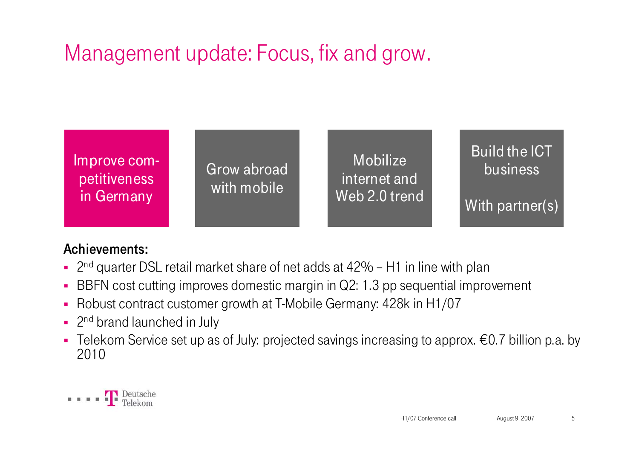# Management update: Focus, fix and grow.



#### Achievements:

- 2<sup>nd</sup> quarter DSL retail market share of net adds at 42% H1 in line with plan
- BBFN cost cutting improves domestic margin in Q2: 1.3 pp sequential improvement
- Robust contract customer growth at T-Mobile Germany: 428k in H1/07
- <sup>2nd</sup> brand launched in July
- Telekom Service set up as of July: projected savings increasing to approx. €0.7 billion p.a. by 2010

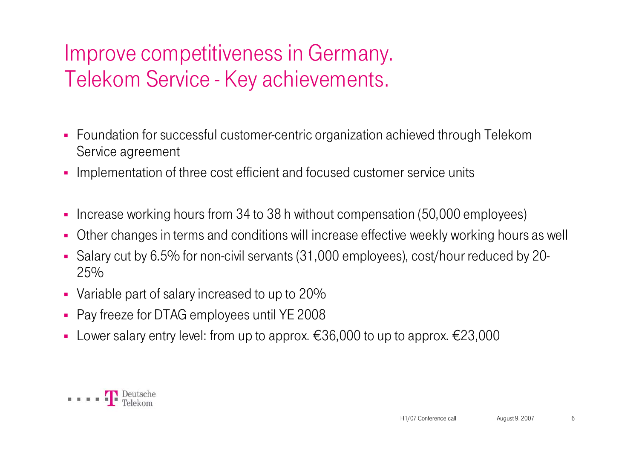# Improve competitiveness in Germany. Telekom Service - Key achievements.

- Foundation for successful customer-centric organization achieved through Telekom Service agreement
- Implementation of three cost efficient and focused customer service units
- ×, Increase working hours from 34 to 38 h without compensation (50,000 employees)
- $\blacksquare$ Other changes in terms and conditions will increase effective weekly working hours as well
- Salary cut by 6.5% for non-civil servants (31,000 employees), cost/hour reduced by 20- 25%
- Variable part of salary increased to up to 20%
- Pay freeze for DTAG employees until YE 2008
- Lower salary entry level: from up to approx. €36,000 to up to approx. €23,000

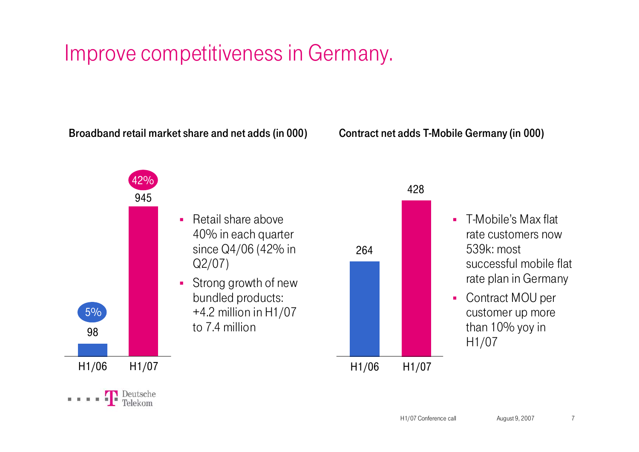### Improve competitiveness in Germany.

Broadband retail market share and net adds (in 000)

Contract net adds T-Mobile Germany (in 000)

5% 9894542%• Retail share above 40% in each quarter since Q4/06 (42% in Q2/07)  $\blacksquare$  Strong growth of new bundled products: +4.2 million in H1/07 to 7.4 million

H1/06 H1/07

Deutsche



- $\mathbf{r}$  T-Mobile's Max flat rate customers now 539k: most successful mobile flat rate plan in Germany
- $\mathbf{r}$  Contract MOU per customer up more than 10% yoy in H1/07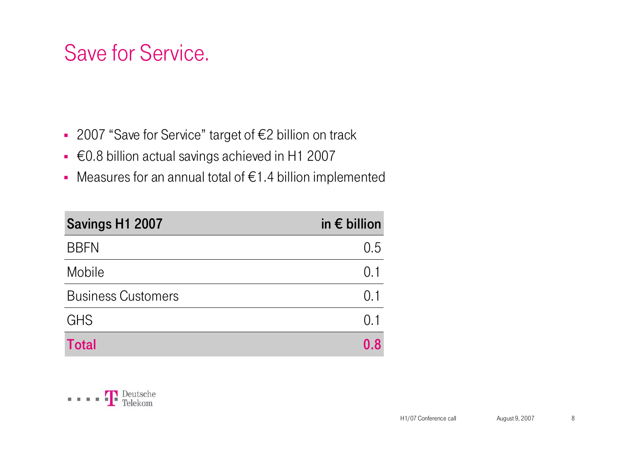### Save for Service.

- 2007 "Save for Service" target of €2 billion on track
- €0.8 billion actual savings achieved in H1 2007
- Measures for an annual total of €1.4 billion implemented

| Savings H1 2007           | in $\epsilon$ billion |
|---------------------------|-----------------------|
| <b>BBFN</b>               | 0.5                   |
| Mobile                    | $(1)$ 1               |
| <b>Business Customers</b> | 0.1                   |
| <b>GHS</b>                | 0.1                   |
| Total                     | 0.8                   |

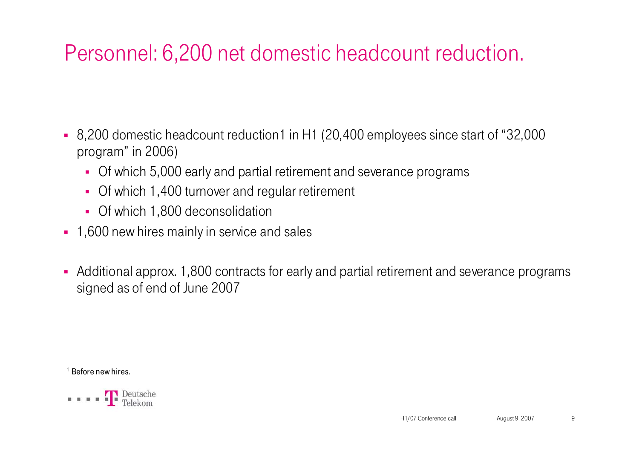# Personnel: 6,200 net domestic headcount reduction.

- 8,200 domestic headcount reduction1 in H1 (20,400 employees since start of "32,000 program" in 2006)
	- Of which 5,000 early and partial retirement and severance programs
	- Of which 1,400 turnover and regular retirement
	- Of which 1,800 deconsolidation
- 1,600 new hires mainly in service and sales
- Additional approx. 1,800 contracts for early and partial retirement and severance programs signed as of end of June 2007

 $^1$  Before new hires.

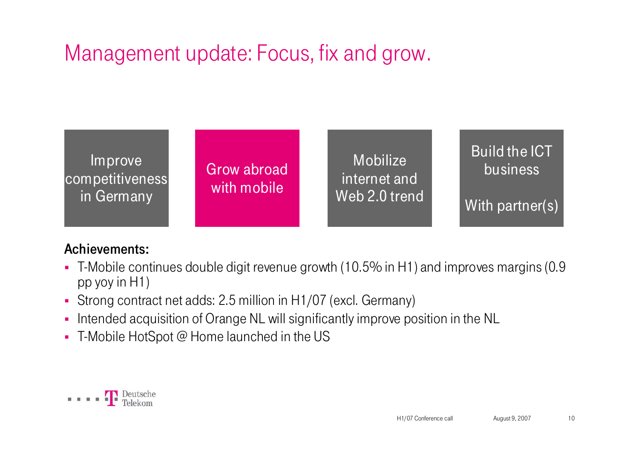# Management update: Focus, fix and grow.



#### Achievements:

- T-Mobile continues double digit revenue growth (10.5% in H1) and improves margins (0.9 pp yoy in H1)
- Strong contract net adds: 2.5 million in H1/07 (excl. Germany)
- $\blacksquare$ Intended acquisition of Orange NL will significantly improve position in the NL
- T-Mobile HotSpot @ Home launched in the US

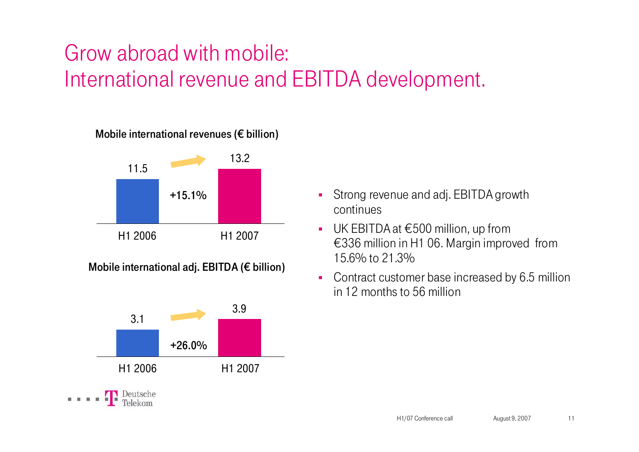# Grow abroad with mobile: International revenue and EBITDA development.

#### Mobile international revenues ( $\epsilon$  billion)



Mobile international adj. EBITDA (€ billion)



- $\mathbf{r}$  Strong revenue and adj. EBITDA growth continues
- $\mathbf{r}$  UK EBITDA at €500 million, up from €336 million in H1 06. Margin improved from 15.6% to 21.3%
- $\blacksquare$  Contract customer base increased by 6.5 million in 12 months to 56 million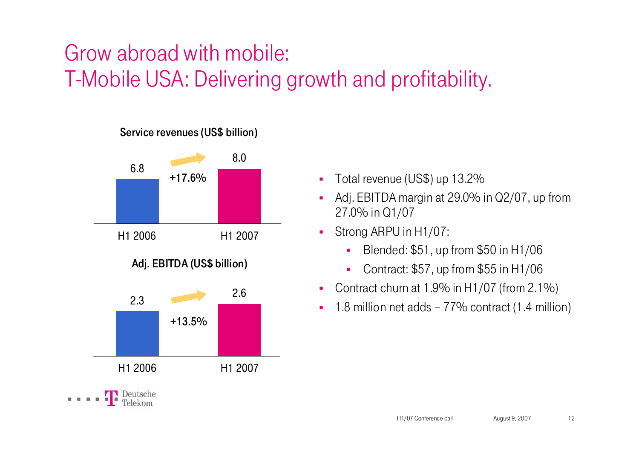# Grow abroad with mobile: T-Mobile USA: Delivering growth and profitability.



- **Total revenue (US\$) up 13.2%**
- $\blacksquare$  Adj. EBITDA margin at 29.0% in Q2/07, up from 27.0% in Q1/07
- $\blacksquare$  Strong ARPU in H1/07:
	- г Blended: \$51, up from \$50 in H1/06
	- $\blacksquare$ Contract: \$57, up from \$55 in H1/06
- $\blacksquare$ Contract churn at 1.9% in H1/07 (from 2.1%)
- $\blacksquare$ 1.8 million net adds – 77% contract (1.4 million)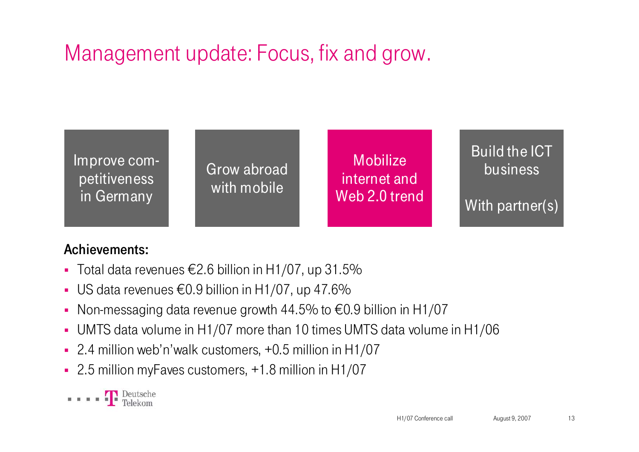# Management update: Focus, fix and grow.



#### Achievements:

- Total data revenues €2.6 billion in H1/07, up 31.5%
- US data revenues €0.9 billion in H1/07, up 47.6%
- $\blacksquare$ Non-messaging data revenue growth 44.5% to €0.9 billion in H1/07
- UMTS data volume in H1/07 more than 10 times UMTS data volume in H1/06
- 2.4 million web'n'walk customers, +0.5 million in H1/07
- 2.5 million myFaves customers, +1.8 million in H1/07

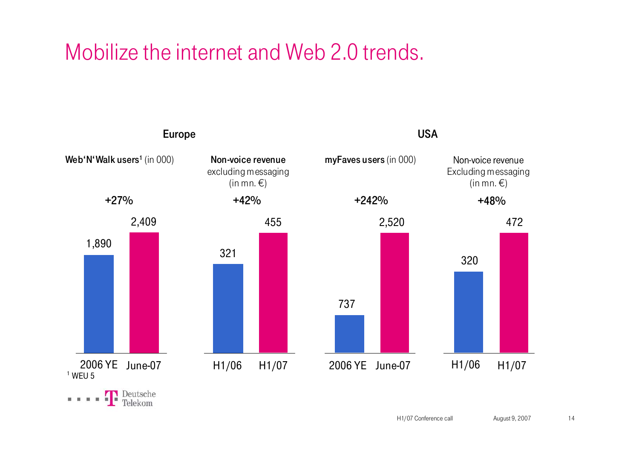### Mobilize the internet and Web 2.0 trends.

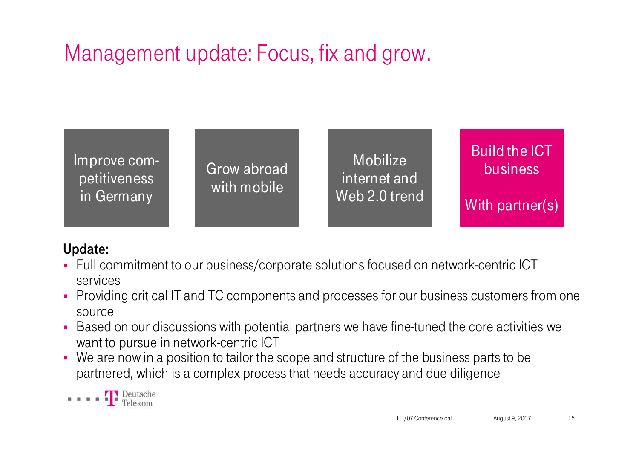# Management update: Focus, fix and grow.



#### Update:

- Full commitment to our business/corporate solutions focused on network-centric ICT services
- $\blacksquare$  Providing critical IT and TC components and processes for our business customers from one source
- $\blacksquare$  Based on our discussions with potential partners we have fine-tuned the core activities we want to pursue in network-centric ICT
- $\blacksquare$ We are now in a position to tailor the scope and structure of the business parts to be partnered, which is a complex process that needs accuracy and due diligence

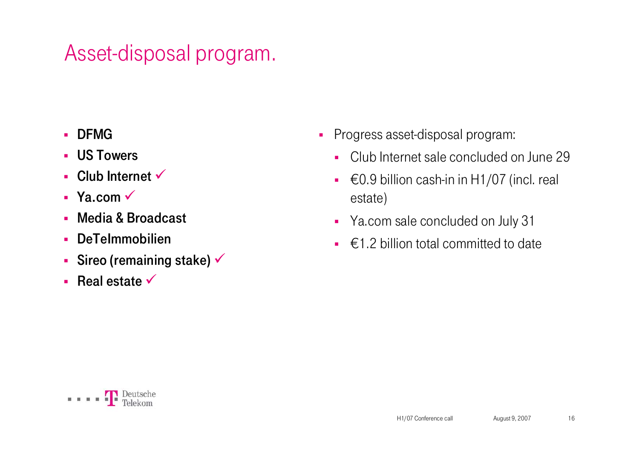## Asset-disposal program.

- ×. DFMG
- US Towers
- $\blacksquare$  Club Internet  $\checkmark$
- $\blacksquare$  Ya.com  $\checkmark$
- Media & Broadcast
- $\mathbf{r}$ DeTeImmobilien
- Sireo (remaining stake)  $\checkmark$
- **Real estate**  $\checkmark$
- $\blacksquare$  Progress asset-disposal program:
	- Club Internet sale concluded on June 29
	- $€0.9$  billion cash-in in H1/07 (incl. real estate)
	- Ya.com sale concluded on July 31
	- $\bullet\;\;\in$  1.2 billion total committed to date

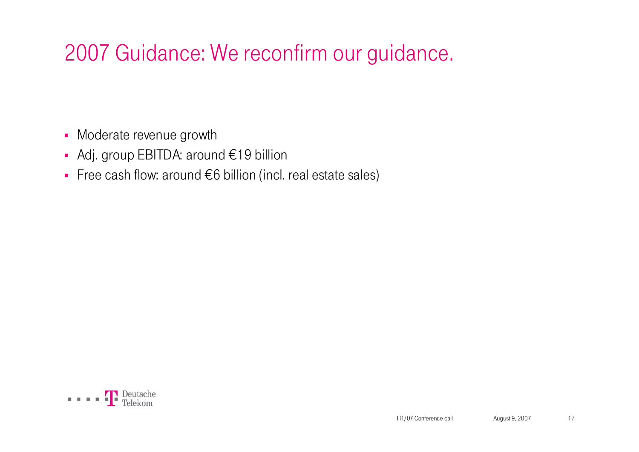# 2007 Guidance: We reconfirm our guidance.

- Moderate revenue growth
- Adj. group EBITDA: around €19 billion
- Free cash flow: around €6 billion (incl. real estate sales)

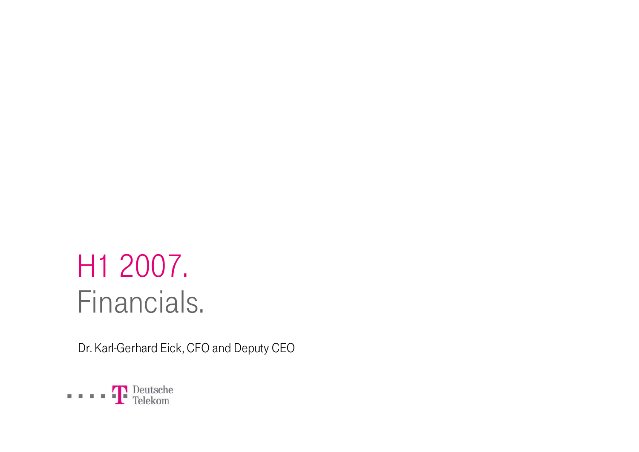# H1 2007. Financials.

Dr. Karl-Gerhard Eick, CFO and Deputy CEO

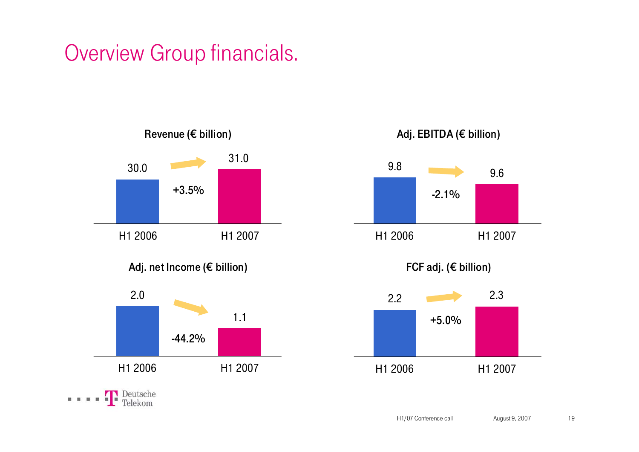### Overview Group financials.



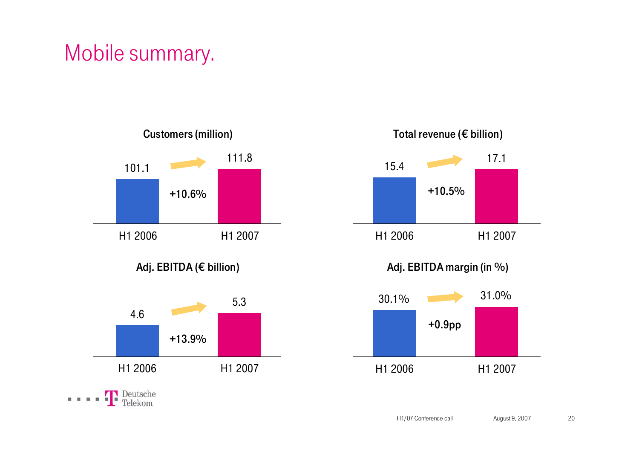# Mobile summary.



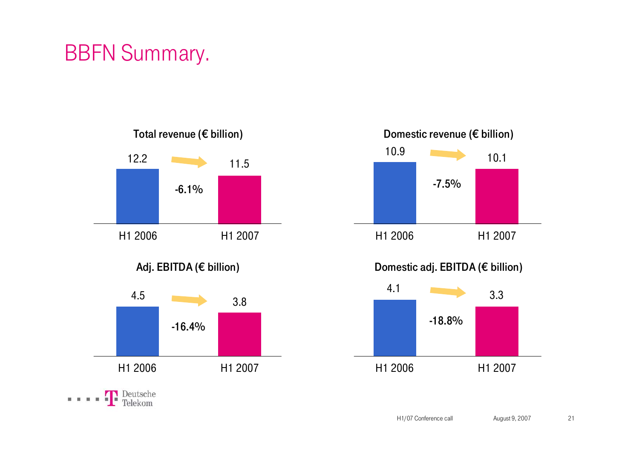## BBFN Summary.



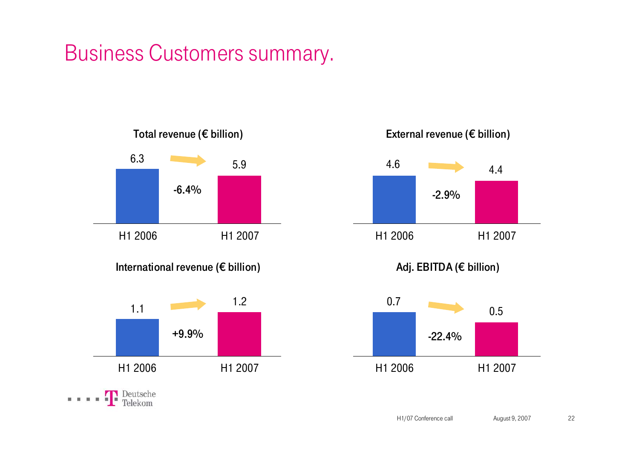### Business Customers summary.







Adj. EBITDA (€ billion)

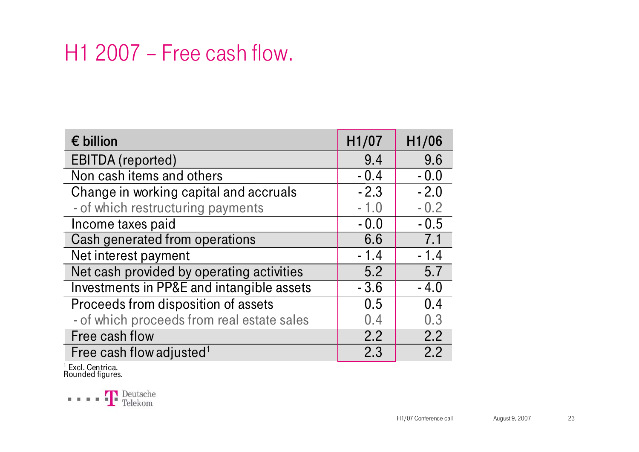### H1 2007 – Free cash flow.

| $\epsilon$ billion                         | H1/07  | H1/06  |
|--------------------------------------------|--------|--------|
| <b>EBITDA</b> (reported)                   | 9.4    | 9.6    |
| Non cash items and others                  | $-0.4$ | $-0.0$ |
| Change in working capital and accruals     | $-2.3$ | $-2.0$ |
| - of which restructuring payments          | $-1.0$ | $-0.2$ |
| Income taxes paid                          | $-0.0$ | $-0.5$ |
| Cash generated from operations             | 6.6    | 7.1    |
| Net interest payment                       | $-1.4$ | $-1.4$ |
| Net cash provided by operating activities  | 5.2    | 5.7    |
| Investments in PP&E and intangible assets  | $-3.6$ | $-4.0$ |
| Proceeds from disposition of assets        | 0.5    | 0.4    |
| - of which proceeds from real estate sales | 0.4    | 0.3    |
| Free cash flow                             | 2.2    | 2.2    |
| Free cash flow adjusted <sup>1</sup>       | 2.3    | 2.2    |

<sup>1</sup> Excl. Centrica.<br>Rounded figures.

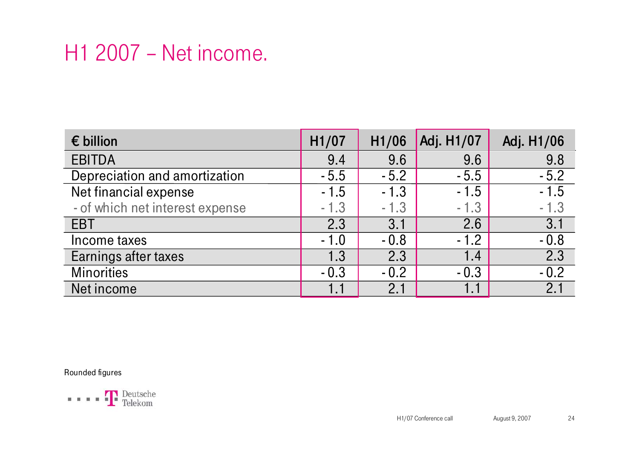### H1 2007 – Net income.

| $\epsilon$ billion              | H1/07  | H1/06  | Adj. H1/07 | Adj. H1/06       |
|---------------------------------|--------|--------|------------|------------------|
| <b>EBITDA</b>                   | 9.4    | 9.6    | 9.6        | 9.8              |
| Depreciation and amortization   | $-5.5$ | $-5.2$ | $-5.5$     | $-5.2$           |
| Net financial expense           | $-1.5$ | $-1.3$ | $-1.5$     | $-1.5$           |
| - of which net interest expense | $-1.3$ | $-1.3$ | $-1.3$     | $-1.3$           |
| <b>EBT</b>                      | 2.3    | 3.1    | 2.6        | 3.1              |
| Income taxes                    | $-1.0$ | $-0.8$ | $-1.2$     | $-0.8$           |
| Earnings after taxes            | 1.3    | 2.3    | 1.4        | $\overline{2.3}$ |
| <b>Minorities</b>               | $-0.3$ | $-0.2$ | $-0.3$     | $-0.2$           |
| Net income                      | 1.1    | 2.1    |            | 2.1              |

Rounded figures

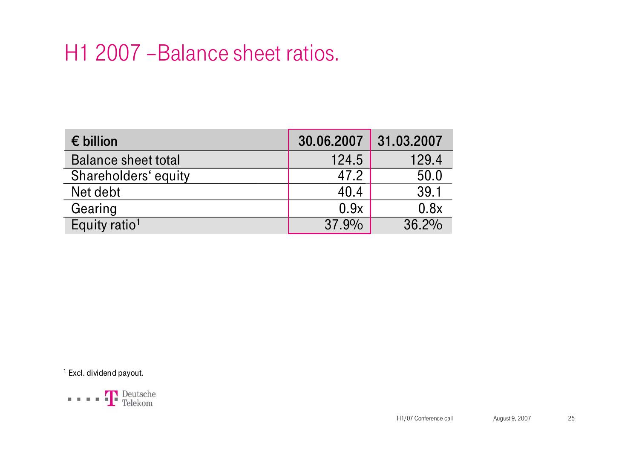### H1 2007 –Balance sheet ratios.

| $\epsilon$ billion         | 30.06.2007 | 31.03.2007 |
|----------------------------|------------|------------|
| <b>Balance sheet total</b> | 124.5      | 129.4      |
| Shareholders' equity       | 47.2       | 50.0       |
| Net debt                   | 40.4       | 39.1       |
| Gearing                    | 0.9x       | 0.8x       |
| Equity ratio <sup>1</sup>  | 37.9%      | 36.2%      |

<sup>1</sup> Excl. dividend payout.